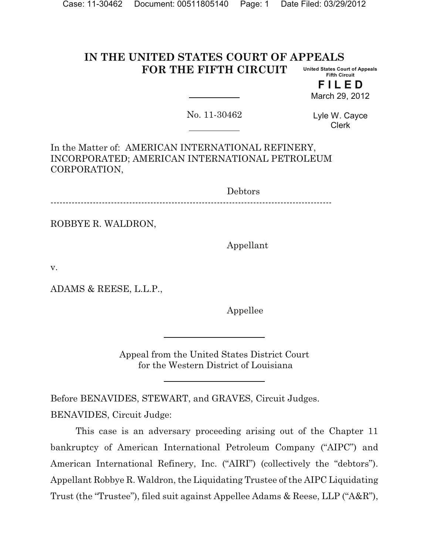#### **IN THE UNITED STATES COURT OF APPEALS FOR THE FIFTH CIRCUIT United States Court of Appeals Fifth Circuit**

**F I L E D** March 29, 2012

No. 11-30462

Lyle W. Cayce Clerk

In the Matter of: AMERICAN INTERNATIONAL REFINERY, INCORPORATED; AMERICAN INTERNATIONAL PETROLEUM CORPORATION,

Debtors

---------------------------------------------------------------------------------------------

ROBBYE R. WALDRON,

Appellant

v.

ADAMS & REESE, L.L.P.,

Appellee

Appeal from the United States District Court for the Western District of Louisiana

Before BENAVIDES, STEWART, and GRAVES, Circuit Judges. BENAVIDES, Circuit Judge:

This case is an adversary proceeding arising out of the Chapter 11 bankruptcy of American International Petroleum Company ("AIPC") and American International Refinery, Inc. ("AIRI") (collectively the "debtors"). Appellant Robbye R. Waldron, the Liquidating Trustee of the AIPC Liquidating Trust (the "Trustee"), filed suit against Appellee Adams & Reese, LLP ("A&R"),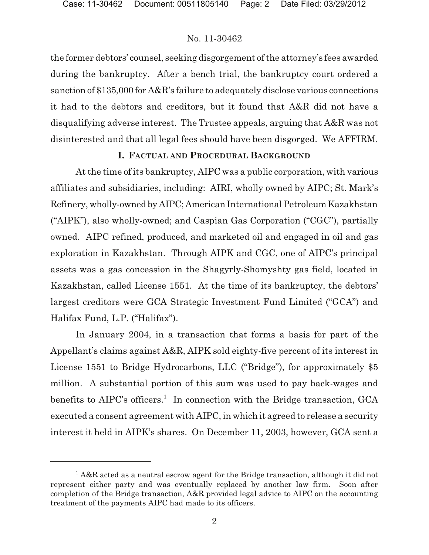the former debtors' counsel, seeking disgorgement of the attorney's fees awarded during the bankruptcy. After a bench trial, the bankruptcy court ordered a sanction of \$135,000 for A&R's failure to adequately disclose various connections it had to the debtors and creditors, but it found that A&R did not have a disqualifying adverse interest. The Trustee appeals, arguing that A&R was not disinterested and that all legal fees should have been disgorged. We AFFIRM.

## **I. FACTUAL AND PROCEDURAL BACKGROUND**

At the time of its bankruptcy, AIPC was a public corporation, with various affiliates and subsidiaries, including: AIRI, wholly owned by AIPC; St. Mark's Refinery, wholly-owned by AIPC; American International Petroleum Kazakhstan ("AIPK"), also wholly-owned; and Caspian Gas Corporation ("CGC"), partially owned. AIPC refined, produced, and marketed oil and engaged in oil and gas exploration in Kazakhstan. Through AIPK and CGC, one of AIPC's principal assets was a gas concession in the Shagyrly-Shomyshty gas field, located in Kazakhstan, called License 1551. At the time of its bankruptcy, the debtors' largest creditors were GCA Strategic Investment Fund Limited ("GCA") and Halifax Fund, L.P. ("Halifax").

In January 2004, in a transaction that forms a basis for part of the Appellant's claims against A&R, AIPK sold eighty-five percent of its interest in License 1551 to Bridge Hydrocarbons, LLC ("Bridge"), for approximately \$5 million. A substantial portion of this sum was used to pay back-wages and benefits to  $AIPC$ 's officers.<sup>1</sup> In connection with the Bridge transaction, GCA executed a consent agreement with AIPC, in which it agreed to release a security interest it held in AIPK's shares. On December 11, 2003, however, GCA sent a

 $1$  A&R acted as a neutral escrow agent for the Bridge transaction, although it did not represent either party and was eventually replaced by another law firm. Soon after completion of the Bridge transaction, A&R provided legal advice to AIPC on the accounting treatment of the payments AIPC had made to its officers.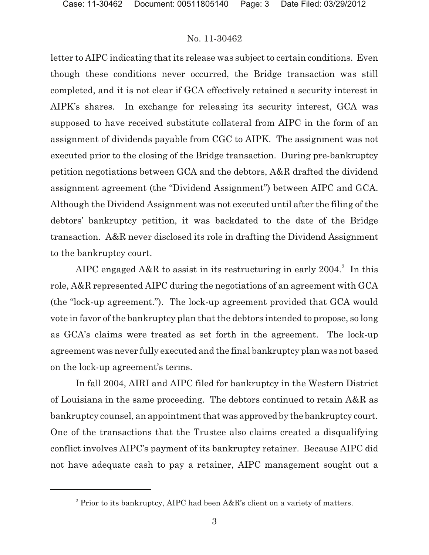letter to AIPC indicating that its release was subject to certain conditions. Even though these conditions never occurred, the Bridge transaction was still completed, and it is not clear if GCA effectively retained a security interest in AIPK's shares. In exchange for releasing its security interest, GCA was supposed to have received substitute collateral from AIPC in the form of an assignment of dividends payable from CGC to AIPK. The assignment was not executed prior to the closing of the Bridge transaction. During pre-bankruptcy petition negotiations between GCA and the debtors, A&R drafted the dividend assignment agreement (the "Dividend Assignment") between AIPC and GCA. Although the Dividend Assignment was not executed until after the filing of the debtors' bankruptcy petition, it was backdated to the date of the Bridge transaction. A&R never disclosed its role in drafting the Dividend Assignment to the bankruptcy court.

AIPC engaged A&R to assist in its restructuring in early  $2004$ <sup>2</sup>. In this role, A&R represented AIPC during the negotiations of an agreement with GCA (the "lock-up agreement."). The lock-up agreement provided that GCA would vote in favor of the bankruptcy plan that the debtors intended to propose, so long as GCA's claims were treated as set forth in the agreement. The lock-up agreement was never fully executed and the final bankruptcy plan was not based on the lock-up agreement's terms.

In fall 2004, AIRI and AIPC filed for bankruptcy in the Western District of Louisiana in the same proceeding. The debtors continued to retain A&R as bankruptcy counsel, an appointment that was approved by the bankruptcy court. One of the transactions that the Trustee also claims created a disqualifying conflict involves AIPC's payment of its bankruptcy retainer. Because AIPC did not have adequate cash to pay a retainer, AIPC management sought out a

 $2$  Prior to its bankruptcy, AIPC had been A&R's client on a variety of matters.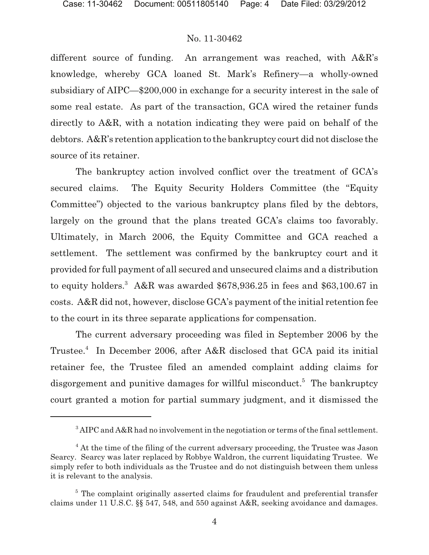different source of funding. An arrangement was reached, with A&R's knowledge, whereby GCA loaned St. Mark's Refinery—a wholly-owned subsidiary of AIPC—\$200,000 in exchange for a security interest in the sale of some real estate. As part of the transaction, GCA wired the retainer funds directly to A&R, with a notation indicating they were paid on behalf of the debtors. A&R's retention application to the bankruptcy court did not disclose the source of its retainer.

The bankruptcy action involved conflict over the treatment of GCA's secured claims. The Equity Security Holders Committee (the "Equity Committee") objected to the various bankruptcy plans filed by the debtors, largely on the ground that the plans treated GCA's claims too favorably. Ultimately, in March 2006, the Equity Committee and GCA reached a settlement. The settlement was confirmed by the bankruptcy court and it provided for full payment of all secured and unsecured claims and a distribution to equity holders.<sup>3</sup> A&R was awarded  $$678,936.25$  in fees and  $$63,100.67$  in costs. A&R did not, however, disclose GCA's payment of the initial retention fee to the court in its three separate applications for compensation.

The current adversary proceeding was filed in September 2006 by the Trustee.<sup>4</sup> In December 2006, after A&R disclosed that GCA paid its initial retainer fee, the Trustee filed an amended complaint adding claims for disgorgement and punitive damages for willful misconduct.<sup>5</sup> The bankruptcy court granted a motion for partial summary judgment, and it dismissed the

<sup>&</sup>lt;sup>3</sup> AIPC and A&R had no involvement in the negotiation or terms of the final settlement.

<sup>&</sup>lt;sup>4</sup> At the time of the filing of the current adversary proceeding, the Trustee was Jason Searcy. Searcy was later replaced by Robbye Waldron, the current liquidating Trustee. We simply refer to both individuals as the Trustee and do not distinguish between them unless it is relevant to the analysis.

 $5$  The complaint originally asserted claims for fraudulent and preferential transfer claims under 11 U.S.C. §§ 547, 548, and 550 against A&R, seeking avoidance and damages.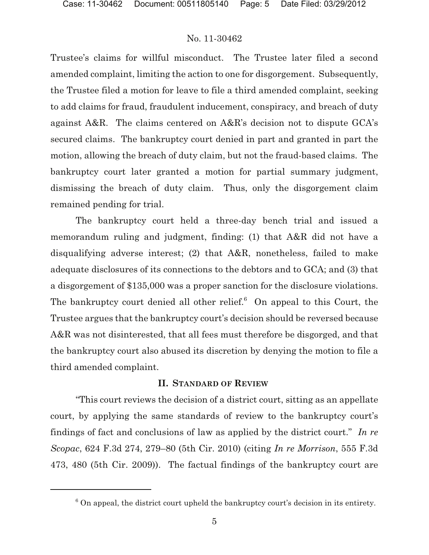Trustee's claims for willful misconduct. The Trustee later filed a second amended complaint, limiting the action to one for disgorgement. Subsequently, the Trustee filed a motion for leave to file a third amended complaint, seeking to add claims for fraud, fraudulent inducement, conspiracy, and breach of duty against A&R. The claims centered on A&R's decision not to dispute GCA's secured claims. The bankruptcy court denied in part and granted in part the motion, allowing the breach of duty claim, but not the fraud-based claims. The bankruptcy court later granted a motion for partial summary judgment, dismissing the breach of duty claim. Thus, only the disgorgement claim remained pending for trial.

The bankruptcy court held a three-day bench trial and issued a memorandum ruling and judgment, finding: (1) that A&R did not have a disqualifying adverse interest; (2) that A&R, nonetheless, failed to make adequate disclosures of its connections to the debtors and to GCA; and (3) that a disgorgement of \$135,000 was a proper sanction for the disclosure violations. The bankruptcy court denied all other relief. $6$  On appeal to this Court, the Trustee argues that the bankruptcy court's decision should be reversed because A&R was not disinterested, that all fees must therefore be disgorged, and that the bankruptcy court also abused its discretion by denying the motion to file a third amended complaint.

#### **II. STANDARD OF REVIEW**

"This court reviews the decision of a district court, sitting as an appellate court, by applying the same standards of review to the bankruptcy court's findings of fact and conclusions of law as applied by the district court." *In re Scopac*, 624 F.3d 274, 279–80 (5th Cir. 2010) (citing *In re Morrison*, 555 F.3d 473, 480 (5th Cir. 2009)). The factual findings of the bankruptcy court are

 $6$  On appeal, the district court upheld the bankruptcy court's decision in its entirety.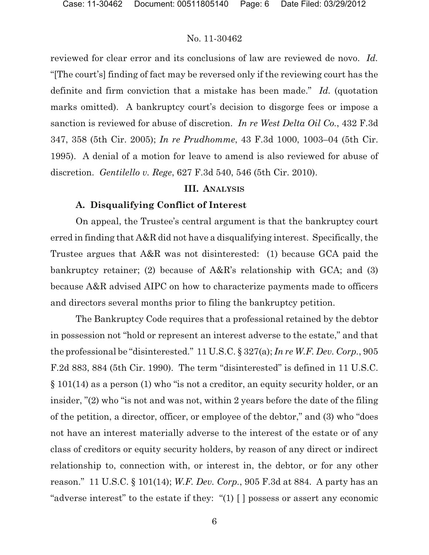reviewed for clear error and its conclusions of law are reviewed de novo. *Id.* "[The court's] finding of fact may be reversed only if the reviewing court has the definite and firm conviction that a mistake has been made." *Id.* (quotation marks omitted). A bankruptcy court's decision to disgorge fees or impose a sanction is reviewed for abuse of discretion. *In re West Delta Oil Co.*, 432 F.3d 347, 358 (5th Cir. 2005); *In re Prudhomme*, 43 F.3d 1000, 1003–04 (5th Cir. 1995). A denial of a motion for leave to amend is also reviewed for abuse of discretion. *Gentilello v. Rege*, 627 F.3d 540, 546 (5th Cir. 2010).

#### **III. ANALYSIS**

#### **A. Disqualifying Conflict of Interest**

On appeal, the Trustee's central argument is that the bankruptcy court erred in finding that A&R did not have a disqualifying interest. Specifically, the Trustee argues that A&R was not disinterested: (1) because GCA paid the bankruptcy retainer; (2) because of A&R's relationship with GCA; and (3) because A&R advised AIPC on how to characterize payments made to officers and directors several months prior to filing the bankruptcy petition.

The Bankruptcy Code requires that a professional retained by the debtor in possession not "hold or represent an interest adverse to the estate," and that the professional be "disinterested." 11 U.S.C. § 327(a); *In re W.F. Dev. Corp.*, 905 F.2d 883, 884 (5th Cir. 1990). The term "disinterested" is defined in 11 U.S.C. § 101(14) as a person (1) who "is not a creditor, an equity security holder, or an insider, "(2) who "is not and was not, within 2 years before the date of the filing of the petition, a director, officer, or employee of the debtor," and (3) who "does not have an interest materially adverse to the interest of the estate or of any class of creditors or equity security holders, by reason of any direct or indirect relationship to, connection with, or interest in, the debtor, or for any other reason." 11 U.S.C. § 101(14); *W.F. Dev. Corp.*, 905 F.3d at 884. A party has an "adverse interest" to the estate if they: "(1) [ ] possess or assert any economic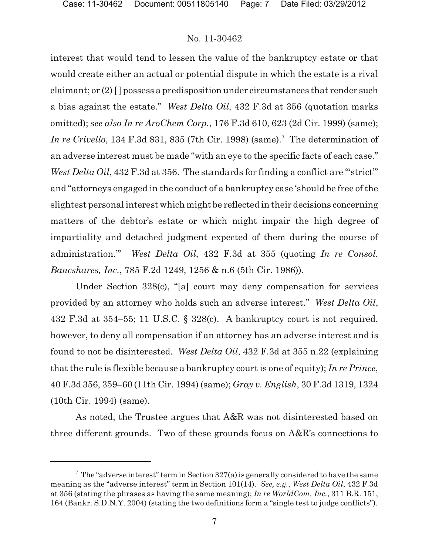interest that would tend to lessen the value of the bankruptcy estate or that would create either an actual or potential dispute in which the estate is a rival claimant; or (2) [ ] possess a predisposition under circumstances that render such a bias against the estate." *West Delta Oil*, 432 F.3d at 356 (quotation marks omitted); *see also In re AroChem Corp.*, 176 F.3d 610, 623 (2d Cir. 1999) (same); *In re Crivello*, 134 F.3d 831, 835 (7th Cir. 1998) (same).<sup>7</sup> The determination of an adverse interest must be made "with an eye to the specific facts of each case." *West Delta Oil*, 432 F.3d at 356. The standards for finding a conflict are "strict" and "attorneys engaged in the conduct of a bankruptcy case 'should be free of the slightest personal interest which might be reflected in their decisions concerning matters of the debtor's estate or which might impair the high degree of impartiality and detached judgment expected of them during the course of administration.'" *West Delta Oil*, 432 F.3d at 355 (quoting *In re Consol. Bancshares, Inc.*, 785 F.2d 1249, 1256 & n.6 (5th Cir. 1986)).

Under Section 328(c), "[a] court may deny compensation for services provided by an attorney who holds such an adverse interest." *West Delta Oil*, 432 F.3d at 354–55; 11 U.S.C. § 328(c). A bankruptcy court is not required, however, to deny all compensation if an attorney has an adverse interest and is found to not be disinterested. *West Delta Oil*, 432 F.3d at 355 n.22 (explaining that the rule is flexible because a bankruptcy court is one of equity); *In re Prince*, 40 F.3d 356, 359–60 (11th Cir. 1994) (same); *Gray v. English*, 30 F.3d 1319, 1324 (10th Cir. 1994) (same).

As noted, the Trustee argues that A&R was not disinterested based on three different grounds. Two of these grounds focus on A&R's connections to

 $\frac{7}{7}$  The "adverse interest" term in Section 327(a) is generally considered to have the same meaning as the "adverse interest" term in Section 101(14). *See, e.g.*, *West Delta Oil*, 432 F.3d at 356 (stating the phrases as having the same meaning); *In re WorldCom, Inc.*, 311 B.R. 151, 164 (Bankr. S.D.N.Y. 2004) (stating the two definitions form a "single test to judge conflicts").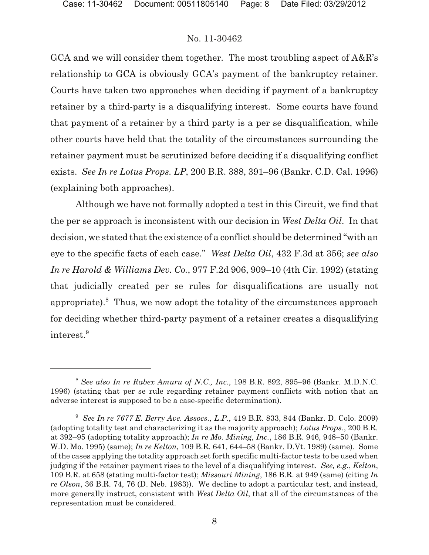GCA and we will consider them together. The most troubling aspect of A&R's relationship to GCA is obviously GCA's payment of the bankruptcy retainer. Courts have taken two approaches when deciding if payment of a bankruptcy retainer by a third-party is a disqualifying interest. Some courts have found that payment of a retainer by a third party is a per se disqualification, while other courts have held that the totality of the circumstances surrounding the retainer payment must be scrutinized before deciding if a disqualifying conflict exists. *See In re Lotus Props. LP*, 200 B.R. 388, 391–96 (Bankr. C.D. Cal. 1996) (explaining both approaches).

Although we have not formally adopted a test in this Circuit, we find that the per se approach is inconsistent with our decision in *West Delta Oil*. In that decision, we stated that the existence of a conflict should be determined "with an eye to the specific facts of each case." *West Delta Oil*, 432 F.3d at 356; *see also In re Harold & Williams Dev. Co.*, 977 F.2d 906, 909–10 (4th Cir. 1992) (stating that judicially created per se rules for disqualifications are usually not appropriate). Thus, we now adopt the totality of the circumstances approach for deciding whether third-party payment of a retainer creates a disqualifying interest. <sup>9</sup>

*See also In re Rabex Amuru of N.C., Inc.*, 198 B.R. 892, 895–96 (Bankr. M.D.N.C. <sup>8</sup> 1996) (stating that per se rule regarding retainer payment conflicts with notion that an adverse interest is supposed to be a case-specific determination).

<sup>&</sup>lt;sup>9</sup> See In re 7677 E. Berry Ave. Assocs., L.P., 419 B.R. 833, 844 (Bankr. D. Colo. 2009) (adopting totality test and characterizing it as the majority approach); *Lotus Props.*, 200 B.R. at 392–95 (adopting totality approach); *In re Mo. Mining, Inc.*, 186 B.R. 946, 948–50 (Bankr. W.D. Mo. 1995) (same); *In re Kelton*, 109 B.R. 641, 644–58 (Bankr. D.Vt. 1989) (same). Some of the cases applying the totality approach set forth specific multi-factor tests to be used when judging if the retainer payment rises to the level of a disqualifying interest. *See, e.g.*, *Kelton*, 109 B.R. at 658 (stating multi-factor test); *Missouri Mining*, 186 B.R. at 949 (same) (citing *In re Olson*, 36 B.R. 74, 76 (D. Neb. 1983)). We decline to adopt a particular test, and instead, more generally instruct, consistent with *West Delta Oil*, that all of the circumstances of the representation must be considered.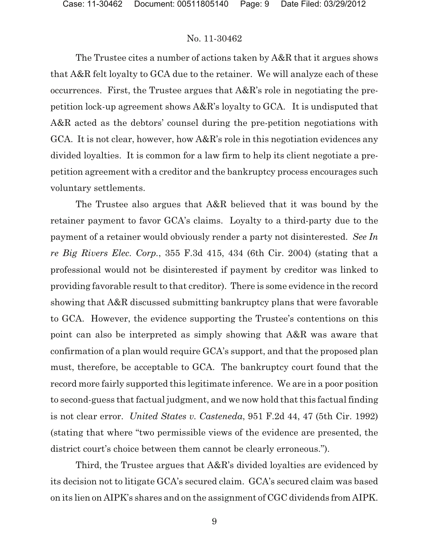The Trustee cites a number of actions taken by A&R that it argues shows that A&R felt loyalty to GCA due to the retainer. We will analyze each of these occurrences. First, the Trustee argues that A&R's role in negotiating the prepetition lock-up agreement shows A&R's loyalty to GCA. It is undisputed that A&R acted as the debtors' counsel during the pre-petition negotiations with GCA. It is not clear, however, how A&R's role in this negotiation evidences any divided loyalties. It is common for a law firm to help its client negotiate a prepetition agreement with a creditor and the bankruptcy process encourages such voluntary settlements.

The Trustee also argues that A&R believed that it was bound by the retainer payment to favor GCA's claims. Loyalty to a third-party due to the payment of a retainer would obviously render a party not disinterested. *See In re Big Rivers Elec. Corp.*, 355 F.3d 415, 434 (6th Cir. 2004) (stating that a professional would not be disinterested if payment by creditor was linked to providing favorable result to that creditor). There is some evidence in the record showing that A&R discussed submitting bankruptcy plans that were favorable to GCA. However, the evidence supporting the Trustee's contentions on this point can also be interpreted as simply showing that A&R was aware that confirmation of a plan would require GCA's support, and that the proposed plan must, therefore, be acceptable to GCA. The bankruptcy court found that the record more fairly supported this legitimate inference. We are in a poor position to second-guess that factual judgment, and we now hold that this factual finding is not clear error. *United States v. Casteneda*, 951 F.2d 44, 47 (5th Cir. 1992) (stating that where "two permissible views of the evidence are presented, the district court's choice between them cannot be clearly erroneous.").

Third, the Trustee argues that A&R's divided loyalties are evidenced by its decision not to litigate GCA's secured claim. GCA's secured claim was based on its lien on AIPK's shares and on the assignment of CGC dividends from AIPK.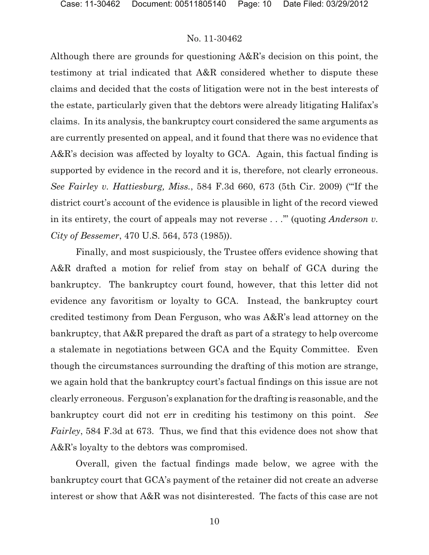Although there are grounds for questioning A&R's decision on this point, the testimony at trial indicated that A&R considered whether to dispute these claims and decided that the costs of litigation were not in the best interests of the estate, particularly given that the debtors were already litigating Halifax's claims. In its analysis, the bankruptcy court considered the same arguments as are currently presented on appeal, and it found that there was no evidence that A&R's decision was affected by loyalty to GCA. Again, this factual finding is supported by evidence in the record and it is, therefore, not clearly erroneous. *See Fairley v. Hattiesburg, Miss.*, 584 F.3d 660, 673 (5th Cir. 2009) ("'If the district court's account of the evidence is plausible in light of the record viewed in its entirety, the court of appeals may not reverse . . .'" (quoting *Anderson v. City of Bessemer*, 470 U.S. 564, 573 (1985)).

Finally, and most suspiciously, the Trustee offers evidence showing that A&R drafted a motion for relief from stay on behalf of GCA during the bankruptcy. The bankruptcy court found, however, that this letter did not evidence any favoritism or loyalty to GCA. Instead, the bankruptcy court credited testimony from Dean Ferguson, who was A&R's lead attorney on the bankruptcy, that A&R prepared the draft as part of a strategy to help overcome a stalemate in negotiations between GCA and the Equity Committee. Even though the circumstances surrounding the drafting of this motion are strange, we again hold that the bankruptcy court's factual findings on this issue are not clearly erroneous. Ferguson's explanation for the drafting is reasonable, and the bankruptcy court did not err in crediting his testimony on this point. *See Fairley*, 584 F.3d at 673. Thus, we find that this evidence does not show that A&R's loyalty to the debtors was compromised.

Overall, given the factual findings made below, we agree with the bankruptcy court that GCA's payment of the retainer did not create an adverse interest or show that A&R was not disinterested. The facts of this case are not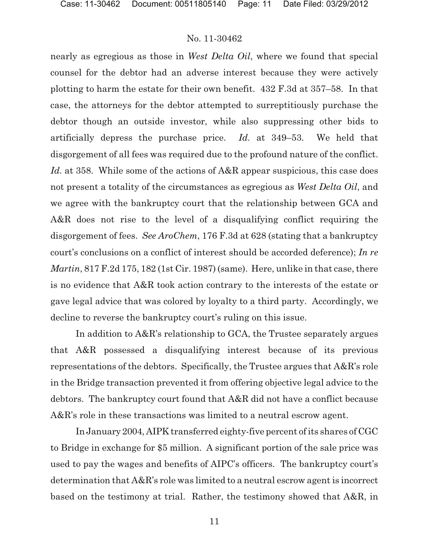nearly as egregious as those in *West Delta Oil*, where we found that special counsel for the debtor had an adverse interest because they were actively plotting to harm the estate for their own benefit. 432 F.3d at 357–58. In that case, the attorneys for the debtor attempted to surreptitiously purchase the debtor though an outside investor, while also suppressing other bids to artificially depress the purchase price. *Id.* at 349–53. We held that disgorgement of all fees was required due to the profound nature of the conflict. *Id.* at 358. While some of the actions of A&R appear suspicious, this case does not present a totality of the circumstances as egregious as *West Delta Oil*, and we agree with the bankruptcy court that the relationship between GCA and A&R does not rise to the level of a disqualifying conflict requiring the disgorgement of fees. *See AroChem*, 176 F.3d at 628 (stating that a bankruptcy court's conclusions on a conflict of interest should be accorded deference); *In re Martin*, 817 F.2d 175, 182 (1st Cir. 1987) (same). Here, unlike in that case, there is no evidence that A&R took action contrary to the interests of the estate or gave legal advice that was colored by loyalty to a third party. Accordingly, we decline to reverse the bankruptcy court's ruling on this issue.

In addition to A&R's relationship to GCA, the Trustee separately argues that A&R possessed a disqualifying interest because of its previous representations of the debtors. Specifically, the Trustee argues that A&R's role in the Bridge transaction prevented it from offering objective legal advice to the debtors. The bankruptcy court found that A&R did not have a conflict because A&R's role in these transactions was limited to a neutral escrow agent.

In January 2004, AIPK transferred eighty-five percent of its shares of CGC to Bridge in exchange for \$5 million. A significant portion of the sale price was used to pay the wages and benefits of AIPC's officers. The bankruptcy court's determination that A&R's role was limited to a neutral escrow agent is incorrect based on the testimony at trial. Rather, the testimony showed that A&R, in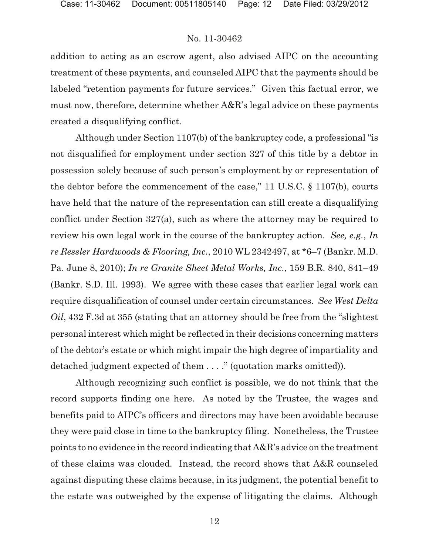addition to acting as an escrow agent, also advised AIPC on the accounting treatment of these payments, and counseled AIPC that the payments should be labeled "retention payments for future services." Given this factual error, we must now, therefore, determine whether A&R's legal advice on these payments created a disqualifying conflict.

Although under Section 1107(b) of the bankruptcy code, a professional "is not disqualified for employment under section 327 of this title by a debtor in possession solely because of such person's employment by or representation of the debtor before the commencement of the case," 11 U.S.C. § 1107(b), courts have held that the nature of the representation can still create a disqualifying conflict under Section 327(a), such as where the attorney may be required to review his own legal work in the course of the bankruptcy action. *See, e.g.*, *In re Ressler Hardwoods & Flooring, Inc.*, 2010 WL 2342497, at \*6–7 (Bankr. M.D. Pa. June 8, 2010); *In re Granite Sheet Metal Works, Inc.*, 159 B.R. 840, 841–49 (Bankr. S.D. Ill. 1993).We agree with these cases that earlier legal work can require disqualification of counsel under certain circumstances. *See West Delta Oil*, 432 F.3d at 355 (stating that an attorney should be free from the "slightest personal interest which might be reflected in their decisions concerning matters of the debtor's estate or which might impair the high degree of impartiality and detached judgment expected of them . . . ." (quotation marks omitted)).

Although recognizing such conflict is possible, we do not think that the record supports finding one here. As noted by the Trustee, the wages and benefits paid to AIPC's officers and directors may have been avoidable because they were paid close in time to the bankruptcy filing. Nonetheless, the Trustee points to no evidence in the record indicating that A&R's advice on the treatment of these claims was clouded. Instead, the record shows that A&R counseled against disputing these claims because, in its judgment, the potential benefit to the estate was outweighed by the expense of litigating the claims. Although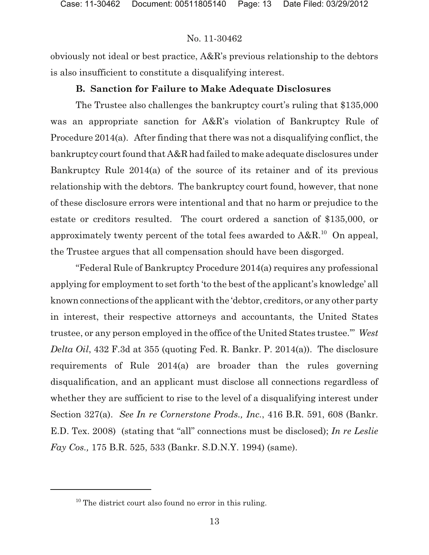obviously not ideal or best practice, A&R's previous relationship to the debtors is also insufficient to constitute a disqualifying interest.

# **B. Sanction for Failure to Make Adequate Disclosures**

The Trustee also challenges the bankruptcy court's ruling that \$135,000 was an appropriate sanction for A&R's violation of Bankruptcy Rule of Procedure 2014(a). After finding that there was not a disqualifying conflict, the bankruptcy court found that A&R had failed to make adequate disclosures under Bankruptcy Rule 2014(a) of the source of its retainer and of its previous relationship with the debtors. The bankruptcy court found, however, that none of these disclosure errors were intentional and that no harm or prejudice to the estate or creditors resulted. The court ordered a sanction of \$135,000, or approximately twenty percent of the total fees awarded to  $A&R.^{10}$  On appeal, the Trustee argues that all compensation should have been disgorged.

"Federal Rule of Bankruptcy Procedure 2014(a) requires any professional applying for employment to set forth 'to the best of the applicant's knowledge' all known connections of the applicant with the 'debtor, creditors, or any other party in interest, their respective attorneys and accountants, the United States trustee, or any person employed in the office of the United States trustee.'" *West Delta Oil*, 432 F.3d at 355 (quoting Fed. R. Bankr. P. 2014(a)). The disclosure requirements of Rule 2014(a) are broader than the rules governing disqualification, and an applicant must disclose all connections regardless of whether they are sufficient to rise to the level of a disqualifying interest under Section 327(a). *See In re Cornerstone Prods., Inc.*, 416 B.R. 591, 608 (Bankr. E.D. Tex. 2008) (stating that "all" connections must be disclosed); *In re Leslie Fay Cos.,* 175 B.R. 525, 533 (Bankr. S.D.N.Y. 1994) (same).

 $10$  The district court also found no error in this ruling.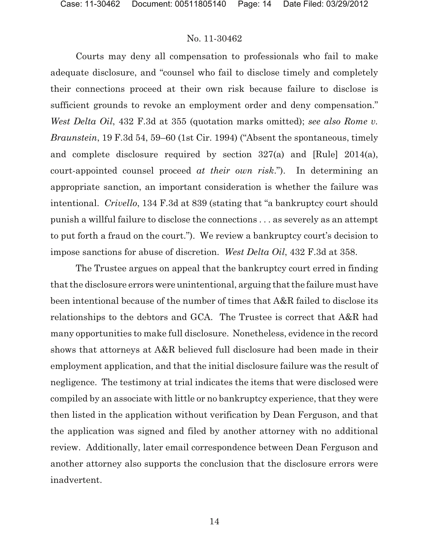Courts may deny all compensation to professionals who fail to make adequate disclosure, and "counsel who fail to disclose timely and completely their connections proceed at their own risk because failure to disclose is sufficient grounds to revoke an employment order and deny compensation." *West Delta Oil*, 432 F.3d at 355 (quotation marks omitted); *see also Rome v. Braunstein*, 19 F.3d 54, 59–60 (1st Cir. 1994) ("Absent the spontaneous, timely and complete disclosure required by section 327(a) and [Rule] 2014(a), court-appointed counsel proceed *at their own risk*."). In determining an appropriate sanction, an important consideration is whether the failure was intentional. *Crivello*, 134 F.3d at 839 (stating that "a bankruptcy court should punish a willful failure to disclose the connections . . . as severely as an attempt to put forth a fraud on the court."). We review a bankruptcy court's decision to impose sanctions for abuse of discretion. *West Delta Oil*, 432 F.3d at 358.

The Trustee argues on appeal that the bankruptcy court erred in finding that the disclosure errors were unintentional, arguing that the failure must have been intentional because of the number of times that A&R failed to disclose its relationships to the debtors and GCA. The Trustee is correct that A&R had many opportunities to make full disclosure. Nonetheless, evidence in the record shows that attorneys at A&R believed full disclosure had been made in their employment application, and that the initial disclosure failure was the result of negligence. The testimony at trial indicates the items that were disclosed were compiled by an associate with little or no bankruptcy experience, that they were then listed in the application without verification by Dean Ferguson, and that the application was signed and filed by another attorney with no additional review. Additionally, later email correspondence between Dean Ferguson and another attorney also supports the conclusion that the disclosure errors were inadvertent.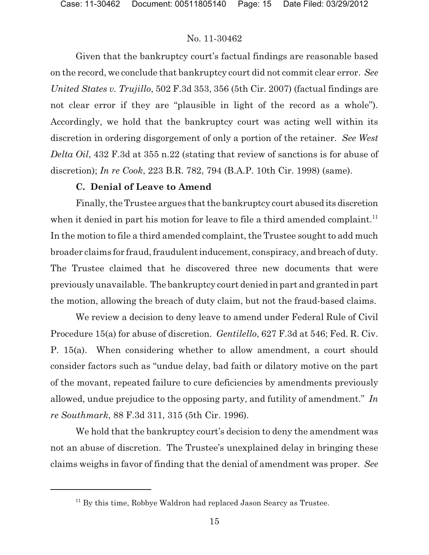Given that the bankruptcy court's factual findings are reasonable based on the record, we conclude that bankruptcy court did not commit clear error. *See United States v. Trujillo*, 502 F.3d 353, 356 (5th Cir. 2007) (factual findings are not clear error if they are "plausible in light of the record as a whole"). Accordingly, we hold that the bankruptcy court was acting well within its discretion in ordering disgorgement of only a portion of the retainer. *See West Delta Oil*, 432 F.3d at 355 n.22 (stating that review of sanctions is for abuse of discretion); *In re Cook*, 223 B.R. 782, 794 (B.A.P. 10th Cir. 1998) (same).

### **C. Denial of Leave to Amend**

Finally, the Trustee argues that the bankruptcy court abused its discretion when it denied in part his motion for leave to file a third amended complaint.<sup>11</sup> In the motion to file a third amended complaint, the Trustee sought to add much broader claims for fraud, fraudulent inducement, conspiracy, and breach of duty. The Trustee claimed that he discovered three new documents that were previously unavailable. The bankruptcy court denied in part and granted in part the motion, allowing the breach of duty claim, but not the fraud-based claims.

We review a decision to deny leave to amend under Federal Rule of Civil Procedure 15(a) for abuse of discretion. *Gentilello*, 627 F.3d at 546; Fed. R. Civ. P. 15(a). When considering whether to allow amendment, a court should consider factors such as "undue delay, bad faith or dilatory motive on the part of the movant, repeated failure to cure deficiencies by amendments previously allowed, undue prejudice to the opposing party, and futility of amendment." *In re Southmark*, 88 F.3d 311, 315 (5th Cir. 1996).

We hold that the bankruptcy court's decision to deny the amendment was not an abuse of discretion. The Trustee's unexplained delay in bringing these claims weighs in favor of finding that the denial of amendment was proper. *See*

 $11$  By this time, Robbye Waldron had replaced Jason Searcy as Trustee.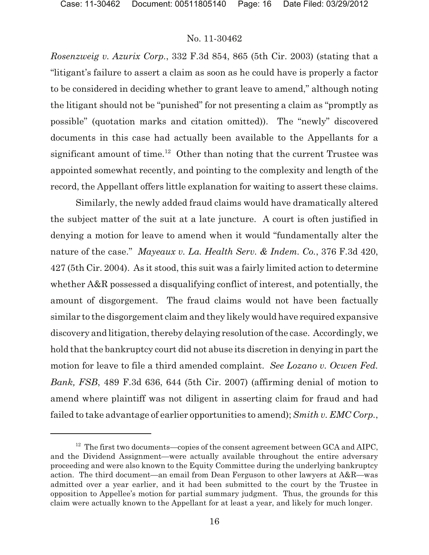*Rosenzweig v. Azurix Corp.*, 332 F.3d 854, 865 (5th Cir. 2003) (stating that a "litigant's failure to assert a claim as soon as he could have is properly a factor to be considered in deciding whether to grant leave to amend," although noting the litigant should not be "punished" for not presenting a claim as "promptly as possible" (quotation marks and citation omitted)). The "newly" discovered documents in this case had actually been available to the Appellants for a significant amount of time.<sup>12</sup> Other than noting that the current Trustee was appointed somewhat recently, and pointing to the complexity and length of the record, the Appellant offers little explanation for waiting to assert these claims.

Similarly, the newly added fraud claims would have dramatically altered the subject matter of the suit at a late juncture. A court is often justified in denying a motion for leave to amend when it would "fundamentally alter the nature of the case." *Mayeaux v. La. Health Serv. & Indem. Co.*, 376 F.3d 420, 427 (5th Cir. 2004). As it stood, this suit was a fairly limited action to determine whether A&R possessed a disqualifying conflict of interest, and potentially, the amount of disgorgement. The fraud claims would not have been factually similar to the disgorgement claim and they likely would have required expansive discovery and litigation, thereby delaying resolution of the case. Accordingly, we hold that the bankruptcy court did not abuse its discretion in denying in part the motion for leave to file a third amended complaint. *See Lozano v. Ocwen Fed. Bank, FSB*, 489 F.3d 636, 644 (5th Cir. 2007) (affirming denial of motion to amend where plaintiff was not diligent in asserting claim for fraud and had failed to take advantage of earlier opportunities to amend); *Smith v. EMC Corp.*,

 $12$  The first two documents—copies of the consent agreement between GCA and AIPC, and the Dividend Assignment—were actually available throughout the entire adversary proceeding and were also known to the Equity Committee during the underlying bankruptcy action. The third document—an email from Dean Ferguson to other lawyers at A&R—was admitted over a year earlier, and it had been submitted to the court by the Trustee in opposition to Appellee's motion for partial summary judgment. Thus, the grounds for this claim were actually known to the Appellant for at least a year, and likely for much longer.